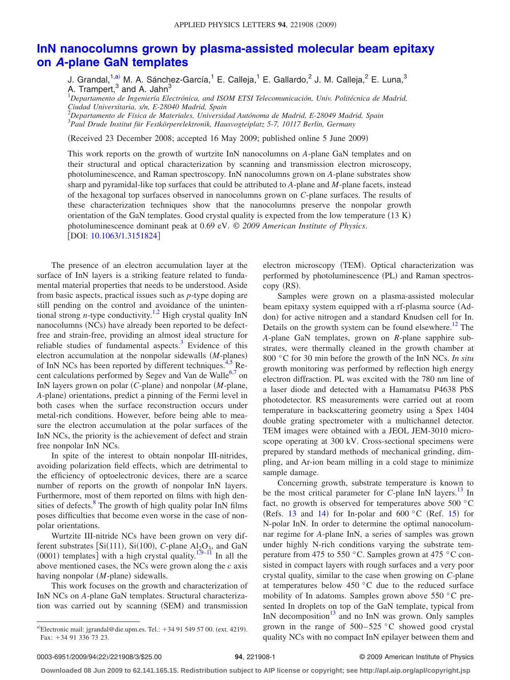## **[InN nanocolumns grown by plasma-assisted molecular beam epitaxy](http://dx.doi.org/10.1063/1.3151824) on** *A***[-plane GaN templates](http://dx.doi.org/10.1063/1.3151824)**

J. Grandal,<sup>1[,a](#page-0-0))</sup> M. A. Sánchez-García,<sup>1</sup> E. Calleja,<sup>1</sup> E. Gallardo,<sup>2</sup> J. M. Calleja,<sup>2</sup> E. Luna,<sup>3</sup> A. Trampert,<sup>3</sup> and A. Jahn<sup>3</sup>

1 *Departamento de Ingeniería Electrónica, and ISOM ETSI Telecomunicación, Univ. Politécnica de Madrid, Ciudad Universitaria, s/n, E-28040 Madrid, Spain*

2 *Departamento de Física de Materiales, Universidad Autónoma de Madrid, E-28049 Madrid, Spain* 3 *Paul Drude Institut für Festkörperelektronik, Hausvogteiplatz 5-7, 10117 Berlin, Germany*

Received 23 December 2008; accepted 16 May 2009; published online 5 June 2009-

This work reports on the growth of wurtzite InN nanocolumns on *A*-plane GaN templates and on their structural and optical characterization by scanning and transmission electron microscopy, photoluminescence, and Raman spectroscopy. InN nanocolumns grown on *A*-plane substrates show sharp and pyramidal-like top surfaces that could be attributed to *A*-plane and *M*-plane facets, instead of the hexagonal top surfaces observed in nanocolumns grown on *C*-plane surfaces. The results of these characterization techniques show that the nanocolumns preserve the nonpolar growth orientation of the GaN templates. Good crystal quality is expected from the low temperature (13 K) photoluminescence dominant peak at 0.69 eV. © *2009 American Institute of Physics*. [DOI: [10.1063/1.3151824](http://dx.doi.org/10.1063/1.3151824)]

The presence of an electron accumulation layer at the surface of InN layers is a striking feature related to fundamental material properties that needs to be understood. Aside from basic aspects, practical issues such as *p*-type doping are still pending on the control and avoidance of the unintentional strong *n*-type conductivity.<sup>1,2</sup> High crystal quality InN nanocolumns (NCs) have already been reported to be defectfree and strain-free, providing an almost ideal structure for reliable studies of fundamental aspects. $3$  Evidence of this electron accumulation at the nonpolar sidewalls (M-planes) of InN NCs has been reported by different techniques.<sup>4,[5](#page-2-3)</sup> Re-cent calculations performed by Segev and Van de Walle<sup>6[,7](#page-2-5)</sup> on InN layers grown on polar (C-plane) and nonpolar (M-plane, A-plane) orientations, predict a pinning of the Fermi level in both cases when the surface reconstruction occurs under metal-rich conditions. However, before being able to measure the electron accumulation at the polar surfaces of the InN NCs, the priority is the achievement of defect and strain free nonpolar InN NCs.

In spite of the interest to obtain nonpolar III-nitrides, avoiding polarization field effects, which are detrimental to the efficiency of optoelectronic devices, there are a scarce number of reports on the growth of nonpolar InN layers. Furthermore, most of them reported on films with high densities of defects. $8 \text{ The growth of high quality polar InN films}$ poses difficulties that become even worse in the case of nonpolar orientations.

Wurtzite III-nitride NCs have been grown on very different substrates [Si(111), Si(100), C-plane  $Al_2O_3$ , and GaN (0001) templates] with a high crystal quality.<sup>1,[9–](#page-2-7)[11](#page-2-8)</sup> In all the above mentioned cases, the NCs were grown along the *c* axis having nonpolar (M-plane) sidewalls.

<span id="page-0-0"></span>This work focuses on the growth and characterization of InN NCs on *A*-plane GaN templates. Structural characterization was carried out by scanning (SEM) and transmission

electron microscopy (TEM). Optical characterization was performed by photoluminescence (PL) and Raman spectroscopy (RS).

Samples were grown on a plasma-assisted molecular beam epitaxy system equipped with a rf-plasma source (Addon) for active nitrogen and a standard Knudsen cell for In. Details on the growth system can be found elsewhere.<sup>12</sup> The *A*-plane GaN templates, grown on *R*-plane sapphire substrates, were thermally cleaned in the growth chamber at 800 °C for 30 min before the growth of the InN NCs. *In situ* growth monitoring was performed by reflection high energy electron diffraction. PL was excited with the 780 nm line of a laser diode and detected with a Hamamatsu P4638 PbS photodetector. RS measurements were carried out at room temperature in backscattering geometry using a Spex 1404 double grating spectrometer with a multichannel detector. TEM images were obtained with a JEOL JEM-3010 microscope operating at 300 kV. Cross-sectional specimens were prepared by standard methods of mechanical grinding, dimpling, and Ar-ion beam milling in a cold stage to minimize sample damage.

Concerning growth, substrate temperature is known to be the most critical parameter for *C*-plane InN layers.<sup>13</sup> In fact, no growth is observed for temperatures above 500 °C (Refs. [13](#page-2-10) and [14](#page-2-11)) for In-polar and  $600\degree$ C (Ref. [15](#page-2-12)) for N-polar InN. In order to determine the optimal nanocolumnar regime for *A*-plane InN, a series of samples was grown under highly N-rich conditions varying the substrate temperature from 475 to 550 °C. Samples grown at 475 °C consisted in compact layers with rough surfaces and a very poor crystal quality, similar to the case when growing on *C*-plane at temperatures below 450 °C due to the reduced surface mobility of In adatoms. Samples grown above 550 °C presented In droplets on top of the GaN template, typical from InN decomposition $13$  and no InN was grown. Only samples grown in the range of  $500-525$  °C showed good crystal quality NCs with no compact InN epilayer between them and

a)Electronic mail: jgrandal@die.upm.es. Tel.:  $+34915495700$ . (ext. 4219). Fax: +34 91 336 73 23.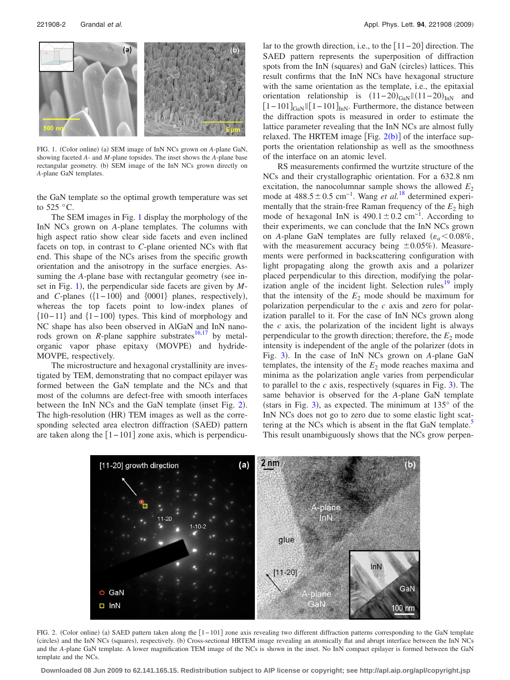<span id="page-1-0"></span>

FIG. 1. (Color online) (a) SEM image of InN NCs grown on *A*-plane GaN, showing faceted *A*- and *M*-plane topsides. The inset shows the *A*-plane base rectangular geometry. (b) SEM image of the InN NCs grown directly on *A*-plane GaN templates.

the GaN template so the optimal growth temperature was set to 525  $\,^{\circ}$ C

The SEM images in Fig. [1](#page-1-0) display the morphology of the InN NCs grown on *A*-plane templates. The columns with high aspect ratio show clear side facets and even inclined facets on top, in contrast to *C*-plane oriented NCs with flat end. This shape of the NCs arises from the specific growth orientation and the anisotropy in the surface energies. Assuming the *A*-plane base with rectangular geometry (see in-set in Fig. [1](#page-1-0)), the perpendicular side facets are given by *M*and *C*-planes  $({1 - 100}$  and  ${0001}$  planes, respectively), whereas the top facets point to low-index planes of  ${10-11}$  and  ${1-100}$  types. This kind of morphology and NC shape has also been observed in AlGaN and InN nanorods grown on *R*-plane sapphire substrates<sup>16,[17](#page-2-14)</sup> by metalorganic vapor phase epitaxy (MOVPE) and hydride-MOVPE, respectively.

The microstructure and hexagonal crystallinity are investigated by TEM, demonstrating that no compact epilayer was formed between the GaN template and the NCs and that most of the columns are defect-free with smooth interfaces between the InN NCs and the GaN template (inset Fig. [2](#page-1-1)). The high-resolution (HR) TEM images as well as the corresponding selected area electron diffraction (SAED) pattern are taken along the  $[1 - 101]$  zone axis, which is perpendicular to the growth direction, i.e., to the  $[11-20]$  direction. The SAED pattern represents the superposition of diffraction spots from the InN (squares) and GaN (circles) lattices. This result confirms that the InN NCs have hexagonal structure with the same orientation as the template, i.e., the epitaxial orientation relationship is  $(11-20)_{\text{GaN}} || (11-20)_{\text{InN}}$  and  $[1-101]_{\text{GaN}}$  |  $[1-101]_{\text{InN}}$ . Furthermore, the distance between the diffraction spots is measured in order to estimate the lattice parameter revealing that the InN NCs are almost fully relaxed. The HRTEM image  $[Fig. 2(b)]$  $[Fig. 2(b)]$  $[Fig. 2(b)]$  of the interface supports the orientation relationship as well as the smoothness of the interface on an atomic level.

RS measurements confirmed the wurtzite structure of the NCs and their crystallographic orientation. For a 632.8 nm excitation, the nanocolumnar sample shows the allowed  $E_2$ mode at 488.5 ± 0.5 cm<sup>-1</sup>. Wang *et al.*<sup>[18](#page-2-15)</sup> determined experimentally that the strain-free Raman frequency of the  $E<sub>2</sub>$  high mode of hexagonal InN is  $490.1 \pm 0.2$  cm<sup>-1</sup>. According to their experiments, we can conclude that the InN NCs grown on *A*-plane GaN templates are fully relaxed  $(\varepsilon_a < 0.08\%$ , with the measurement accuracy being  $\pm 0.05\%$ ). Measurements were performed in backscattering configuration with light propagating along the growth axis and a polarizer placed perpendicular to this direction, modifying the polarization angle of the incident light. Selection rules<sup>19</sup> imply that the intensity of the  $E<sub>2</sub>$  mode should be maximum for polarization perpendicular to the *c* axis and zero for polarization parallel to it. For the case of InN NCs grown along the *c* axis, the polarization of the incident light is always perpendicular to the growth direction; therefore, the  $E_2$  mode intensity is independent of the angle of the polarizer (dots in Fig. [3](#page-2-17)). In the case of InN NCs grown on *A*-plane GaN templates, the intensity of the  $E_2$  mode reaches maxima and minima as the polarization angle varies from perpendicular to parallel to the  $c$  axis, respectively (squares in Fig. [3](#page-2-17)). The same behavior is observed for the *A*-plane GaN template (stars in Fig. [3](#page-2-17)), as expected. The minimum at  $135^{\circ}$  of the InN NCs does not go to zero due to some elastic light scattering at the NCs which is absent in the flat GaN template.<sup>5</sup> This result unambiguously shows that the NCs grow perpen-

<span id="page-1-1"></span>

FIG. 2. (Color online) (a) SAED pattern taken along the [1-101] zone axis revealing two different diffraction patterns corresponding to the GaN template (circles) and the InN NCs (squares), respectively. (b) Cross-sectional HRTEM image revealing an atomically flat and abrupt interface between the InN NCs and the *A*-plane GaN template. A lower magnification TEM image of the NCs is shown in the inset. No InN compact epilayer is formed between the GaN template and the NCs.

**Downloaded 08 Jun 2009 to 62.141.165.15. Redistribution subject to AIP license or copyright; see http://apl.aip.org/apl/copyright.jsp**